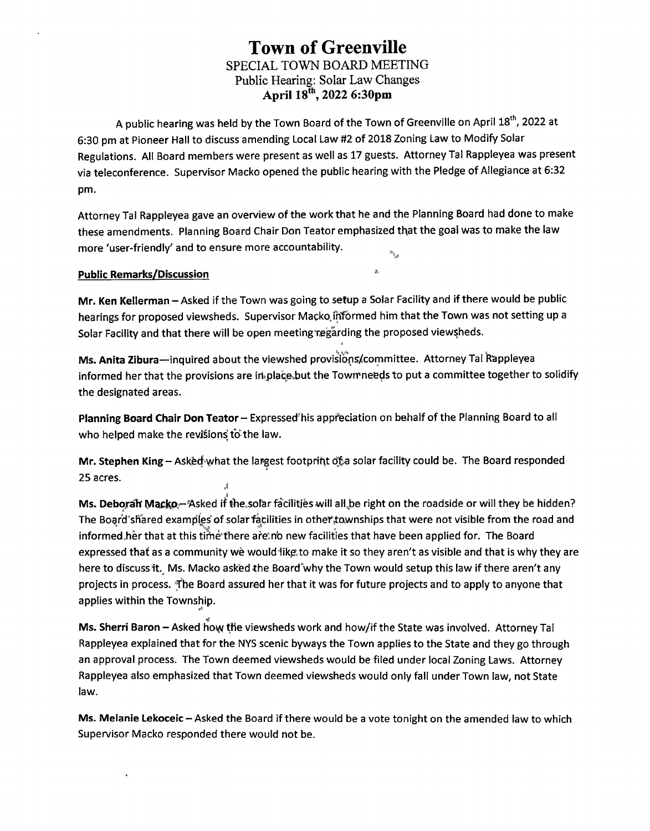## **Town of Greenville SPECIAL TOWN BOARD MEETING Public Hearing: Solar Law Changes April 18th, 2022 6:30pm**

**A public hearing was held by the Town Board of the Town of Greenville on April 18th, 2022 at 6:30 pm at Pioneer Hall to discuss amending Local Law #2 of 2018 Zoning Law to Modify Solar Regulations. All Board members were present as well as 17 guests. Attorney Tal Rappleyea was present via teleconference. Supervisor Macko opened the public hearing with the Pledge of Allegiance at 6:32 pm.**

Attorney Tal Rappleyea gave an overview of the work that he and the Planning Board had done to make **these amendments. Planning Board Chair Don Teator emphasized that the goal was to make the law more 'user-friendly' and to ensure more accountability.**

## **Public Remarks/Discussion \*'**

Mr. Ken Kellerman - Asked if the Town was going to setup a Solar Facility and if there would be public **hearings for proposed viewsheds. Supervisor Mapko.iHfbrmed him that the Town was not setting up a Solar Facility and that there will be open meeting regarding the proposed viewsheds.**

**Ms. Anita Zibura—inquired about the viewshed provisiops/committee. Attorney Tal Rappleyea**  $int$  **informed** her that the provisions are in place but the Town needs to put a committee together to solidify **the designated areas.**

**Planning Board Chair Don Teator-Expressed'his appreciation on behalf of the Planning Board to all who helped make the revisions to" the law.**

**Mr. Stephen King - ASkfecbyvhat the largest footprint of,.a solar facility could be. The Board responded 25 acres.**

**Ms. Debq,ralf lyiackPr-Asked if the,solar facilities will all,be right on the roadside or will they be hidden? The Bogrd shared examples of solarfacilities in othef,townships that were not visible from the road and informed,herthat at this timethere are'rtb new facilities that have been applied for. The Board** expressed that as a community we would like to make it so they aren't as visible and that is why they are here to discuss it. Ms. Macko asked the Board why the Town would setup this law if there aren't any projects in process. The Board assured her that it was for future projects and to apply to anyone that **applies within the Township.**

**Ms. Sherri Baron - Asked hoyy the viewsheds work and how/if the State was involved. Attorney Tal** Rappleyea explained that for the NYS scenic byways the Town applies to the State and they go through **an approval process. The Town deemed viewsheds would be filed under local Zoning Laws. Attorney Rappleyea also emphasized that Town deemed viewsheds would only fall under Town law, not State law.**

Ms. Melanie Lekoceic - Asked the Board if there would be a vote tonight on the amended law to which **Supervisor Macko responded there would not be.**